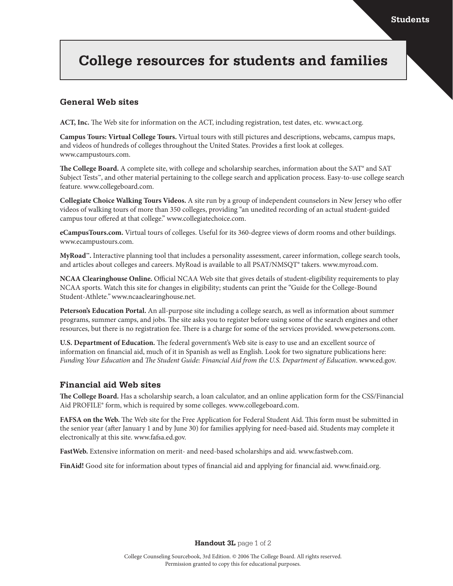# **College resources for students and families**

## **General Web sites**

**ACT, Inc.** The Web site for information on the ACT, including registration, test dates, etc. www.act.org.

**Campus Tours: Virtual College Tours.** Virtual tours with still pictures and descriptions, webcams, campus maps, and videos of hundreds of colleges throughout the United States. Provides a first look at colleges. www.campustours.com.

The College Board. A complete site, with college and scholarship searches, information about the SAT<sup>®</sup> and SAT Subject Tests™, and other material pertaining to the college search and application process. Easy-to-use college search feature. www.collegeboard.com.

**Collegiate Choice Walking Tours Videos.** A site run by a group of independent counselors in New Jersey who offer videos of walking tours of more than 350 colleges, providing "an unedited recording of an actual student-guided campus tour offered at that college." www.collegiatechoice.com.

**eCampusTours.com.** Virtual tours of colleges. Useful for its 360-degree views of dorm rooms and other buildings. www.ecampustours.com.

**MyRoad™.** Interactive planning tool that includes a personality assessment, career information, college search tools, and articles about colleges and careers. MyRoad is available to all PSAT/NMSQT® takers. www.myroad.com.

**NCAA Clearinghouse Online.** Official NCAA Web site that gives details of student-eligibility requirements to play NCAA sports. Watch this site for changes in eligibility; students can print the "Guide for the College-Bound Student-Athlete*."* www.ncaaclearinghouse.net.

**Peterson's Education Portal.** An all-purpose site including a college search, as well as information about summer programs, summer camps, and jobs. The site asks you to register before using some of the search engines and other resources, but there is no registration fee. There is a charge for some of the services provided. www.petersons.com.

**U.S. Department of Education.** The federal government's Web site is easy to use and an excellent source of information on financial aid, much of it in Spanish as well as English. Look for two signature publications here: *Funding Your Education* and *The Student Guide: Financial Aid from the U.S. Department of Education*. www.ed.gov.

### **Financial aid Web sites**

**The College Board.** Has a scholarship search, a loan calculator, and an online application form for the CSS/Financial Aid PROFILE® form, which is required by some colleges. www.collegeboard.com.

**FAFSA on the Web.** The Web site for the Free Application for Federal Student Aid. This form must be submitted in the senior year (after January 1 and by June 30) for families applying for need-based aid. Students may complete it electronically at this site. www.fafsa.ed.gov.

**FastWeb.** Extensive information on merit- and need-based scholarships and aid. www.fastweb.com.

**FinAid!** Good site for information about types of financial aid and applying for financial aid. www.finaid.org.

**Handout 3L** page 1 of 2